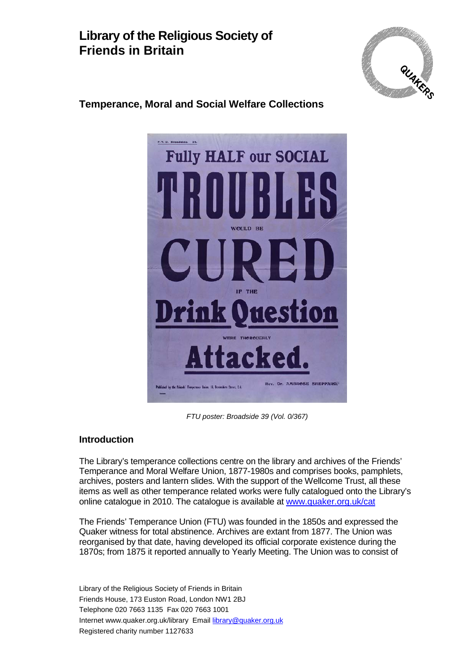## **Library of the Religious Society of Friends in Britain**



## **Temperance, Moral and Social Welfare Collections**



*FTU poster: Broadside 39 (Vol. 0/367)*

#### **Introduction**

The Library's temperance collections centre on the library and archives of the Friends' Temperance and Moral Welfare Union, 1877-1980s and comprises books, pamphlets, archives, posters and lantern slides. With the support of the Wellcome Trust, all these items as well as other temperance related works were fully catalogued onto the Library's online catalogue in 2010. The catalogue is available at [www.quaker.org.uk/cat](http://www.quaker.org.uk/cat)

The Friends' Temperance Union (FTU) was founded in the 1850s and expressed the Quaker witness for total abstinence. Archives are extant from 1877. The Union was reorganised by that date, having developed its official corporate existence during the 1870s; from 1875 it reported annually to Yearly Meeting. The Union was to consist of

Library of the Religious Society of Friends in Britain Friends House, 173 Euston Road, London NW1 2BJ Telephone 020 7663 1135 Fax 020 7663 1001 Internet www.quaker.org.uk/library Email [library@quaker.org.uk](mailto:library@quaker.org.uk) Registered charity number 1127633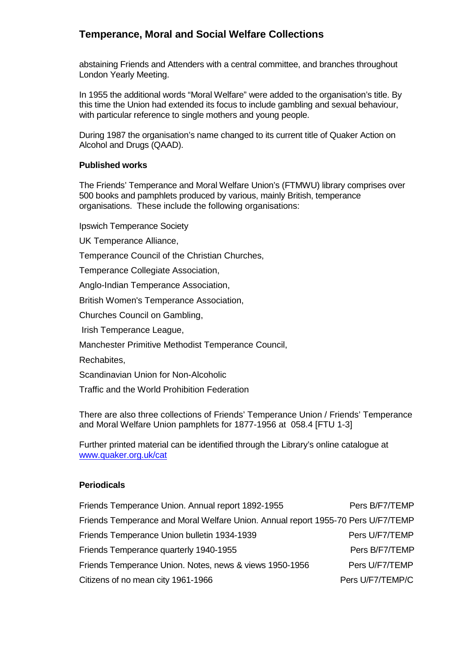## **Temperance, Moral and Social Welfare Collections**

abstaining Friends and Attenders with a central committee, and branches throughout London Yearly Meeting.

In 1955 the additional words "Moral Welfare" were added to the organisation's title. By this time the Union had extended its focus to include gambling and sexual behaviour, with particular reference to single mothers and young people.

During 1987 the organisation's name changed to its current title of Quaker Action on Alcohol and Drugs (QAAD).

#### **Published works**

The Friends' Temperance and Moral Welfare Union's (FTMWU) library comprises over 500 books and pamphlets produced by various, mainly British, temperance organisations. These include the following organisations:

Ipswich Temperance Society

UK Temperance Alliance,

Temperance Council of the Christian Churches,

Temperance Collegiate Association,

Anglo-Indian Temperance Association,

British Women's Temperance Association,

Churches Council on Gambling,

Irish Temperance League,

Manchester Primitive Methodist Temperance Council,

Rechabites,

Scandinavian Union for Non-Alcoholic

Traffic and the World Prohibition Federation

There are also three collections of Friends' Temperance Union / Friends' Temperance and Moral Welfare Union pamphlets for 1877-1956 at 058.4 [FTU 1-3]

Further printed material can be identified through the Library's online catalogue at [www.quaker.org.uk/cat](http://www.quaker.org.uk/cat)

#### **Periodicals**

| Friends Temperance Union. Annual report 1892-1955                                | Pers B/F7/TEMP   |
|----------------------------------------------------------------------------------|------------------|
| Friends Temperance and Moral Welfare Union. Annual report 1955-70 Pers U/F7/TEMP |                  |
| Friends Temperance Union bulletin 1934-1939                                      | Pers U/F7/TEMP   |
| Friends Temperance quarterly 1940-1955                                           | Pers B/F7/TEMP   |
| Friends Temperance Union. Notes, news & views 1950-1956                          | Pers U/F7/TEMP   |
| Citizens of no mean city 1961-1966                                               | Pers U/F7/TEMP/C |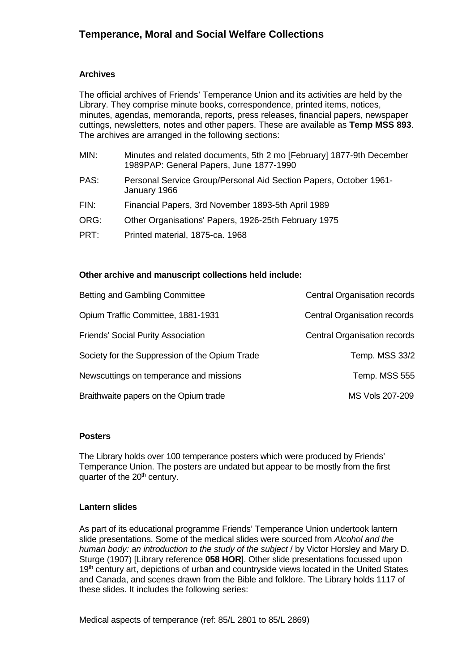#### **Archives**

The official archives of Friends' Temperance Union and its activities are held by the Library. They comprise minute books, correspondence, printed items, notices, minutes, agendas, memoranda, reports, press releases, financial papers, newspaper cuttings, newsletters, notes and other papers. These are available as **Temp MSS 893**. The archives are arranged in the following sections:

| MIN: | Minutes and related documents, 5th 2 mo [February] 1877-9th December<br>1989PAP: General Papers, June 1877-1990 |
|------|-----------------------------------------------------------------------------------------------------------------|
| PAS: | Personal Service Group/Personal Aid Section Papers, October 1961-<br>January 1966                               |
| FIN: | Financial Papers, 3rd November 1893-5th April 1989                                                              |
| ORG: | Other Organisations' Papers, 1926-25th February 1975                                                            |
| PRT: | Printed material, 1875-ca. 1968                                                                                 |
|      |                                                                                                                 |

#### **Other archive and manuscript collections held include:**

| <b>Betting and Gambling Committee</b>          | <b>Central Organisation records</b> |
|------------------------------------------------|-------------------------------------|
| Opium Traffic Committee, 1881-1931             | Central Organisation records        |
| <b>Friends' Social Purity Association</b>      | <b>Central Organisation records</b> |
| Society for the Suppression of the Opium Trade | Temp. MSS 33/2                      |
| Newscuttings on temperance and missions        | Temp. MSS 555                       |
| Braithwaite papers on the Opium trade          | MS Vols 207-209                     |

#### **Posters**

The Library holds over 100 temperance posters which were produced by Friends' Temperance Union. The posters are undated but appear to be mostly from the first quarter of the 20<sup>th</sup> century.

#### **Lantern slides**

As part of its educational programme Friends' Temperance Union undertook lantern slide presentations. Some of the medical slides were sourced from *Alcohol and the human body: an introduction to the study of the subject* / by Victor Horsley and Mary D. Sturge (1907) [Library reference **058 HOR**]. Other slide presentations focussed upon 19<sup>th</sup> century art, depictions of urban and countryside views located in the United States and Canada, and scenes drawn from the Bible and folklore. The Library holds 1117 of these slides. It includes the following series:

Medical aspects of temperance (ref: 85/L 2801 to 85/L 2869)